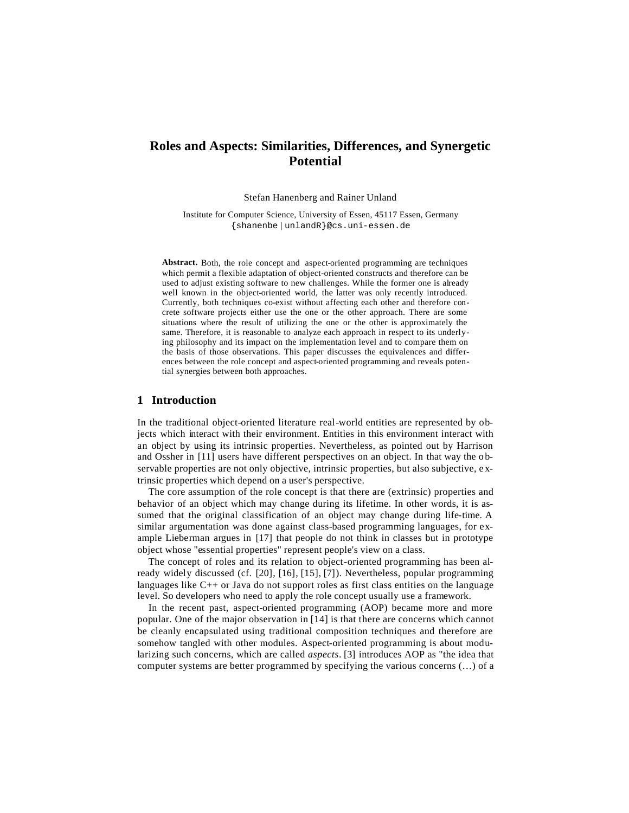# **Roles and Aspects: Similarities, Differences, and Synergetic Potential**

Stefan Hanenberg and Rainer Unland

Institute for Computer Science, University of Essen, 45117 Essen, Germany {shanenbe | unlandR}@cs.uni-essen.de

**Abstract.** Both, the role concept and aspect-oriented programming are techniques which permit a flexible adaptation of object-oriented constructs and therefore can be used to adjust existing software to new challenges. While the former one is already well known in the object-oriented world, the latter was only recently introduced. Currently, both techniques co-exist without affecting each other and therefore concrete software projects either use the one or the other approach. There are some situations where the result of utilizing the one or the other is approximately the same. Therefore, it is reasonable to analyze each approach in respect to its underlying philosophy and its impact on the implementation level and to compare them on the basis of those observations. This paper discusses the equivalences and differences between the role concept and aspect-oriented programming and reveals potential synergies between both approaches.

## **1 Introduction**

In the traditional object-oriented literature real-world entities are represented by objects which interact with their environment. Entities in this environment interact with an object by using its intrinsic properties. Nevertheless, as pointed out by Harrison and Ossher in [11] users have different perspectives on an object. In that way the o bservable properties are not only objective, intrinsic properties, but also subjective, e xtrinsic properties which depend on a user's perspective.

The core assumption of the role concept is that there are (extrinsic) properties and behavior of an object which may change during its lifetime. In other words, it is assumed that the original classification of an object may change during life-time. A similar argumentation was done against class-based programming languages, for example Lieberman argues in [17] that people do not think in classes but in prototype object whose "essential properties" represent people's view on a class.

The concept of roles and its relation to object-oriented programming has been already widely discussed (cf. [20], [16], [15], [7]). Nevertheless, popular programming languages like C++ or Java do not support roles as first class entities on the language level. So developers who need to apply the role concept usually use a framework.

In the recent past, aspect-oriented programming (AOP) became more and more popular. One of the major observation in [14] is that there are concerns which cannot be cleanly encapsulated using traditional composition techniques and therefore are somehow tangled with other modules. Aspect-oriented programming is about modularizing such concerns, which are called *aspects*. [3] introduces AOP as "the idea that computer systems are better programmed by specifying the various concerns (…) of a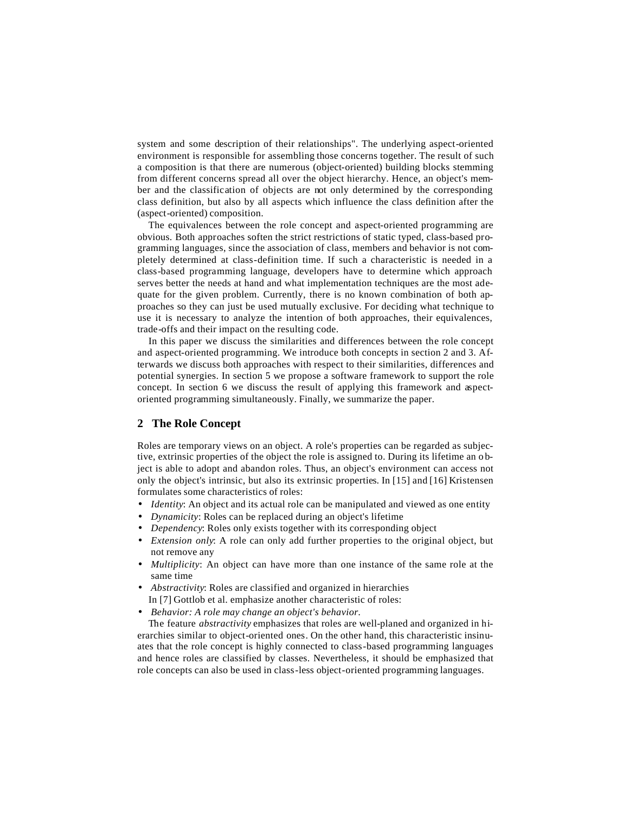system and some description of their relationships". The underlying aspect-oriented environment is responsible for assembling those concerns together. The result of such a composition is that there are numerous (object-oriented) building blocks stemming from different concerns spread all over the object hierarchy. Hence, an object's member and the classification of objects are not only determined by the corresponding class definition, but also by all aspects which influence the class definition after the (aspect-oriented) composition.

The equivalences between the role concept and aspect-oriented programming are obvious. Both approaches soften the strict restrictions of static typed, class-based programming languages, since the association of class, members and behavior is not completely determined at class-definition time. If such a characteristic is needed in a class-based programming language, developers have to determine which approach serves better the needs at hand and what implementation techniques are the most adequate for the given problem. Currently, there is no known combination of both approaches so they can just be used mutually exclusive. For deciding what technique to use it is necessary to analyze the intention of both approaches, their equivalences, trade-offs and their impact on the resulting code.

In this paper we discuss the similarities and differences between the role concept and aspect-oriented programming. We introduce both concepts in section 2 and 3. Afterwards we discuss both approaches with respect to their similarities, differences and potential synergies. In section 5 we propose a software framework to support the role concept. In section 6 we discuss the result of applying this framework and aspectoriented programming simultaneously. Finally, we summarize the paper.

## **2 The Role Concept**

Roles are temporary views on an object. A role's properties can be regarded as subjective, extrinsic properties of the object the role is assigned to. During its lifetime an o bject is able to adopt and abandon roles. Thus, an object's environment can access not only the object's intrinsic, but also its extrinsic properties. In [15] and [16] Kristensen formulates some characteristics of roles:

- *Identity*: An object and its actual role can be manipulated and viewed as one entity
- *Dynamicity*: Roles can be replaced during an object's lifetime
- *Dependency*: Roles only exists together with its corresponding object
- *Extension only*: A role can only add further properties to the original object, but not remove any
- *Multiplicity*: An object can have more than one instance of the same role at the same time
- *Abstractivity*: Roles are classified and organized in hierarchies In [7] Gottlob et al. emphasize another characteristic of roles:
- *Behavior: A role may change an object's behavior.*

The feature *abstractivity* emphasizes that roles are well-planed and organized in hierarchies similar to object-oriented ones. On the other hand, this characteristic insinuates that the role concept is highly connected to class-based programming languages and hence roles are classified by classes. Nevertheless, it should be emphasized that role concepts can also be used in class-less object-oriented programming languages.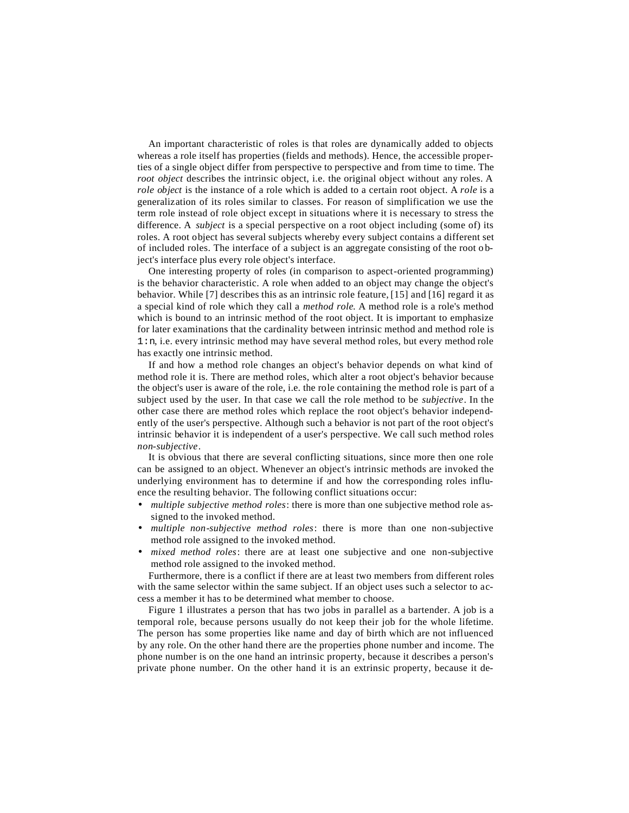An important characteristic of roles is that roles are dynamically added to objects whereas a role itself has properties (fields and methods). Hence, the accessible properties of a single object differ from perspective to perspective and from time to time. The *root object* describes the intrinsic object, i.e. the original object without any roles. A *role object* is the instance of a role which is added to a certain root object. A *role* is a generalization of its roles similar to classes. For reason of simplification we use the term role instead of role object except in situations where it is necessary to stress the difference. A *subject* is a special perspective on a root object including (some of) its roles. A root object has several subjects whereby every subject contains a different set of included roles. The interface of a subject is an aggregate consisting of the root o bject's interface plus every role object's interface.

One interesting property of roles (in comparison to aspect-oriented programming) is the behavior characteristic. A role when added to an object may change the object's behavior. While [7] describes this as an intrinsic role feature, [15] and [16] regard it as a special kind of role which they call a *method role*. A method role is a role's method which is bound to an intrinsic method of the root object. It is important to emphasize for later examinations that the cardinality between intrinsic method and method role is 1:n, i.e. every intrinsic method may have several method roles, but every method role has exactly one intrinsic method.

If and how a method role changes an object's behavior depends on what kind of method role it is. There are method roles, which alter a root object's behavior because the object's user is aware of the role, i.e. the role containing the method role is part of a subject used by the user. In that case we call the role method to be *subjective*. In the other case there are method roles which replace the root object's behavior independently of the user's perspective. Although such a behavior is not part of the root object's intrinsic behavior it is independent of a user's perspective. We call such method roles *non-subjective*.

It is obvious that there are several conflicting situations, since more then one role can be assigned to an object. Whenever an object's intrinsic methods are invoked the underlying environment has to determine if and how the corresponding roles influence the resulting behavior. The following conflict situations occur:

- *multiple subjective method roles*: there is more than one subjective method role assigned to the invoked method.
- *multiple non-subjective method roles*: there is more than one non-subjective method role assigned to the invoked method.
- *mixed method roles*: there are at least one subjective and one non-subjective method role assigned to the invoked method.

Furthermore, there is a conflict if there are at least two members from different roles with the same selector within the same subject. If an object uses such a selector to access a member it has to be determined what member to choose.

Figure 1 illustrates a person that has two jobs in parallel as a bartender. A job is a temporal role, because persons usually do not keep their job for the whole lifetime. The person has some properties like name and day of birth which are not influenced by any role. On the other hand there are the properties phone number and income. The phone number is on the one hand an intrinsic property, because it describes a person's private phone number. On the other hand it is an extrinsic property, because it de-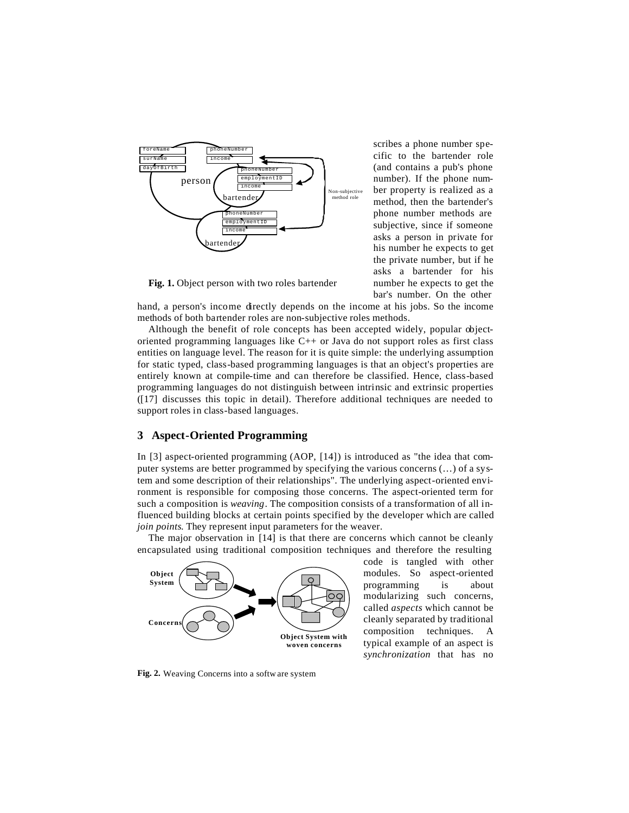

scribes a phone number specific to the bartender role (and contains a pub's phone number). If the phone number property is realized as a method, then the bartender's phone number methods are subjective, since if someone asks a person in private for his number he expects to get the private number, but if he asks a bartender for his number he expects to get the bar's number. On the other

**Fig. 1.** Object person with two roles bartender

hand, a person's income directly depends on the income at his jobs. So the income methods of both bartender roles are non-subjective roles methods.

Although the benefit of role concepts has been accepted widely, popular objectoriented programming languages like C++ or Java do not support roles as first class entities on language level. The reason for it is quite simple: the underlying assumption for static typed, class-based programming languages is that an object's properties are entirely known at compile-time and can therefore be classified. Hence, class-based programming languages do not distinguish between intrinsic and extrinsic properties ([17] discusses this topic in detail). Therefore additional techniques are needed to support roles in class-based languages.

## **3 Aspect-Oriented Programming**

In [3] aspect-oriented programming (AOP, [14]) is introduced as "the idea that computer systems are better programmed by specifying the various concerns (…) of a system and some description of their relationships". The underlying aspect-oriented environment is responsible for composing those concerns. The aspect-oriented term for such a composition is *weaving*. The composition consists of a transformation of all influenced building blocks at certain points specified by the developer which are called *join points*. They represent input parameters for the weaver.

The major observation in [14] is that there are concerns which cannot be cleanly encapsulated using traditional composition techniques and therefore the resulting



code is tangled with other modules. So aspect-oriented programming is about modularizing such concerns, called *aspects* which cannot be cleanly separated by traditional composition techniques. A typical example of an aspect is *synchronization* that has no

**Fig. 2.** Weaving Concerns into a softw are system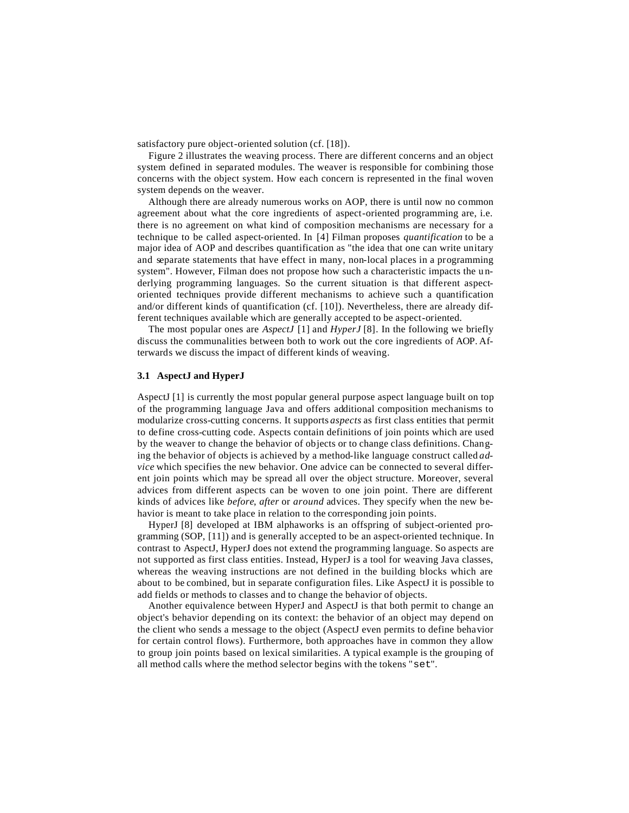satisfactory pure object-oriented solution (cf. [18]).

Figure 2 illustrates the weaving process. There are different concerns and an object system defined in separated modules. The weaver is responsible for combining those concerns with the object system. How each concern is represented in the final woven system depends on the weaver.

Although there are already numerous works on AOP, there is until now no common agreement about what the core ingredients of aspect-oriented programming are, i.e. there is no agreement on what kind of composition mechanisms are necessary for a technique to be called aspect-oriented. In [4] Filman proposes *quantification* to be a major idea of AOP and describes quantification as "the idea that one can write unitary and separate statements that have effect in many, non-local places in a programming system". However, Filman does not propose how such a characteristic impacts the u nderlying programming languages. So the current situation is that different aspectoriented techniques provide different mechanisms to achieve such a quantification and/or different kinds of quantification (cf. [10]). Nevertheless, there are already different techniques available which are generally accepted to be aspect-oriented.

The most popular ones are *AspectJ* [1] and *HyperJ* [8]. In the following we briefly discuss the communalities between both to work out the core ingredients of AOP. Afterwards we discuss the impact of different kinds of weaving.

### **3.1 AspectJ and HyperJ**

AspectJ [1] is currently the most popular general purpose aspect language built on top of the programming language Java and offers additional composition mechanisms to modularize cross-cutting concerns. It supports *aspects* as first class entities that permit to define cross-cutting code. Aspects contain definitions of join points which are used by the weaver to change the behavior of objects or to change class definitions. Changing the behavior of objects is achieved by a method-like language construct called *advice* which specifies the new behavior. One advice can be connected to several different join points which may be spread all over the object structure. Moreover, several advices from different aspects can be woven to one join point. There are different kinds of advices like *before*, *after* or *around* advices. They specify when the new behavior is meant to take place in relation to the corresponding join points.

HyperJ [8] developed at IBM alphaworks is an offspring of subject-oriented programming (SOP, [11]) and is generally accepted to be an aspect-oriented technique. In contrast to AspectJ, HyperJ does not extend the programming language. So aspects are not supported as first class entities. Instead, HyperJ is a tool for weaving Java classes, whereas the weaving instructions are not defined in the building blocks which are about to be combined, but in separate configuration files. Like AspectJ it is possible to add fields or methods to classes and to change the behavior of objects.

Another equivalence between HyperJ and AspectJ is that both permit to change an object's behavior depending on its context: the behavior of an object may depend on the client who sends a message to the object (AspectJ even permits to define behavior for certain control flows). Furthermore, both approaches have in common they allow to group join points based on lexical similarities. A typical example is the grouping of all method calls where the method selector begins with the tokens "set".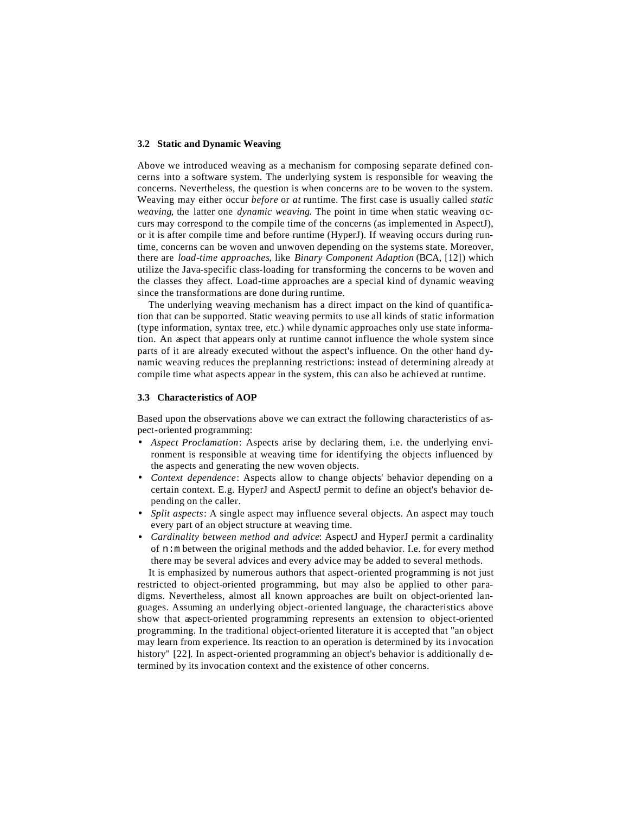#### **3.2 Static and Dynamic Weaving**

Above we introduced weaving as a mechanism for composing separate defined concerns into a software system. The underlying system is responsible for weaving the concerns. Nevertheless, the question is when concerns are to be woven to the system. Weaving may either occur *before* or *at* runtime. The first case is usually called *static weaving*, the latter one *dynamic weaving*. The point in time when static weaving occurs may correspond to the compile time of the concerns (as implemented in AspectJ), or it is after compile time and before runtime (HyperJ). If weaving occurs during runtime, concerns can be woven and unwoven depending on the systems state. Moreover, there are *load-time approaches*, like *Binary Component Adaption* (BCA, [12]) which utilize the Java-specific class-loading for transforming the concerns to be woven and the classes they affect. Load-time approaches are a special kind of dynamic weaving since the transformations are done during runtime.

The underlying weaving mechanism has a direct impact on the kind of quantification that can be supported. Static weaving permits to use all kinds of static information (type information, syntax tree, etc.) while dynamic approaches only use state information. An aspect that appears only at runtime cannot influence the whole system since parts of it are already executed without the aspect's influence. On the other hand dynamic weaving reduces the preplanning restrictions: instead of determining already at compile time what aspects appear in the system, this can also be achieved at runtime.

#### **3.3 Characteristics of AOP**

Based upon the observations above we can extract the following characteristics of aspect-oriented programming:

- *Aspect Proclamation*: Aspects arise by declaring them, i.e. the underlying environment is responsible at weaving time for identifying the objects influenced by the aspects and generating the new woven objects.
- *Context dependence*: Aspects allow to change objects' behavior depending on a certain context. E.g. HyperJ and AspectJ permit to define an object's behavior depending on the caller.
- *Split aspects*: A single aspect may influence several objects. An aspect may touch every part of an object structure at weaving time.
- *Cardinality between method and advice*: AspectJ and HyperJ permit a cardinality of n:m between the original methods and the added behavior. I.e. for every method there may be several advices and every advice may be added to several methods.

It is emphasized by numerous authors that aspect-oriented programming is not just restricted to object-oriented programming, but may also be applied to other paradigms. Nevertheless, almost all known approaches are built on object-oriented languages. Assuming an underlying object-oriented language, the characteristics above show that aspect-oriented programming represents an extension to object-oriented programming. In the traditional object-oriented literature it is accepted that "an o bject may learn from experience. Its reaction to an operation is determined by its i nvocation history" [22]. In aspect-oriented programming an object's behavior is additionally determined by its invocation context and the existence of other concerns.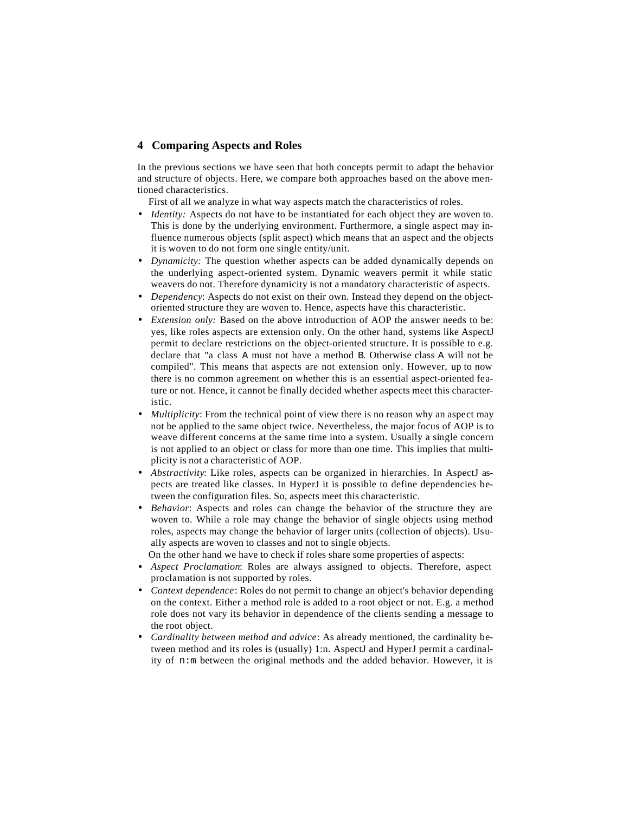## **4 Comparing Aspects and Roles**

In the previous sections we have seen that both concepts permit to adapt the behavior and structure of objects. Here, we compare both approaches based on the above mentioned characteristics.

First of all we analyze in what way aspects match the characteristics of roles.

- *Identity:* Aspects do not have to be instantiated for each object they are woven to. This is done by the underlying environment. Furthermore, a single aspect may influence numerous objects (split aspect) which means that an aspect and the objects it is woven to do not form one single entity/unit.
- *Dynamicity:* The question whether aspects can be added dynamically depends on the underlying aspect-oriented system. Dynamic weavers permit it while static weavers do not. Therefore dynamicity is not a mandatory characteristic of aspects.
- *Dependency*: Aspects do not exist on their own. Instead they depend on the objectoriented structure they are woven to. Hence, aspects have this characteristic.
- *Extension only:* Based on the above introduction of AOP the answer needs to be: yes, like roles aspects are extension only. On the other hand, systems like AspectJ permit to declare restrictions on the object-oriented structure. It is possible to e.g. declare that "a class A must not have a method B. Otherwise class A will not be compiled". This means that aspects are not extension only. However, up to now there is no common agreement on whether this is an essential aspect-oriented feature or not. Hence, it cannot be finally decided whether aspects meet this characteristic.
- *Multiplicity*: From the technical point of view there is no reason why an aspect may not be applied to the same object twice. Nevertheless, the major focus of AOP is to weave different concerns at the same time into a system. Usually a single concern is not applied to an object or class for more than one time. This implies that multiplicity is not a characteristic of AOP.
- *Abstractivity*: Like roles, aspects can be organized in hierarchies. In AspectJ aspects are treated like classes. In HyperJ it is possible to define dependencies between the configuration files. So, aspects meet this characteristic.
- *Behavior*: Aspects and roles can change the behavior of the structure they are woven to. While a role may change the behavior of single objects using method roles, aspects may change the behavior of larger units (collection of objects). Usually aspects are woven to classes and not to single objects.

On the other hand we have to check if roles share some properties of aspects:

- *Aspect Proclamation*: Roles are always assigned to objects. Therefore, aspect proclamation is not supported by roles.
- *Context dependence*: Roles do not permit to change an object's behavior depending on the context. Either a method role is added to a root object or not. E.g. a method role does not vary its behavior in dependence of the clients sending a message to the root object.
- *Cardinality between method and advice*: As already mentioned, the cardinality between method and its roles is (usually) 1:n. AspectJ and HyperJ permit a cardinality of n:m between the original methods and the added behavior. However, it is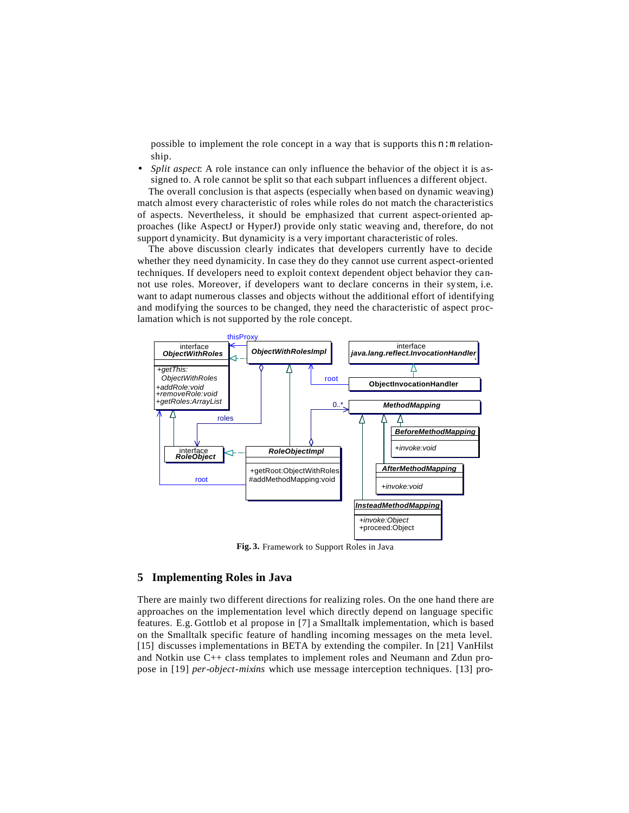possible to implement the role concept in a way that is supports this  $n : m$  relationship.

• *Split aspect*: A role instance can only influence the behavior of the object it is assigned to. A role cannot be split so that each subpart influences a different object.

The overall conclusion is that aspects (especially when based on dynamic weaving) match almost every characteristic of roles while roles do not match the characteristics of aspects. Nevertheless, it should be emphasized that current aspect-oriented approaches (like AspectJ or HyperJ) provide only static weaving and, therefore, do not support d ynamicity. But dynamicity is a very important characteristic of roles.

The above discussion clearly indicates that developers currently have to decide whether they need dynamicity. In case they do they cannot use current aspect-oriented techniques. If developers need to exploit context dependent object behavior they cannot use roles. Moreover, if developers want to declare concerns in their system, i.e. want to adapt numerous classes and objects without the additional effort of identifying and modifying the sources to be changed, they need the characteristic of aspect proclamation which is not supported by the role concept.



**Fig. 3.** Framework to Support Roles in Java

## **5 Implementing Roles in Java**

There are mainly two different directions for realizing roles. On the one hand there are approaches on the implementation level which directly depend on language specific features. E.g. Gottlob et al propose in [7] a Smalltalk implementation, which is based on the Smalltalk specific feature of handling incoming messages on the meta level. [15] discusses implementations in BETA by extending the compiler. In [21] VanHilst and Notkin use C++ class templates to implement roles and Neumann and Zdun propose in [19] *per-object-mixins* which use message interception techniques. [13] pro-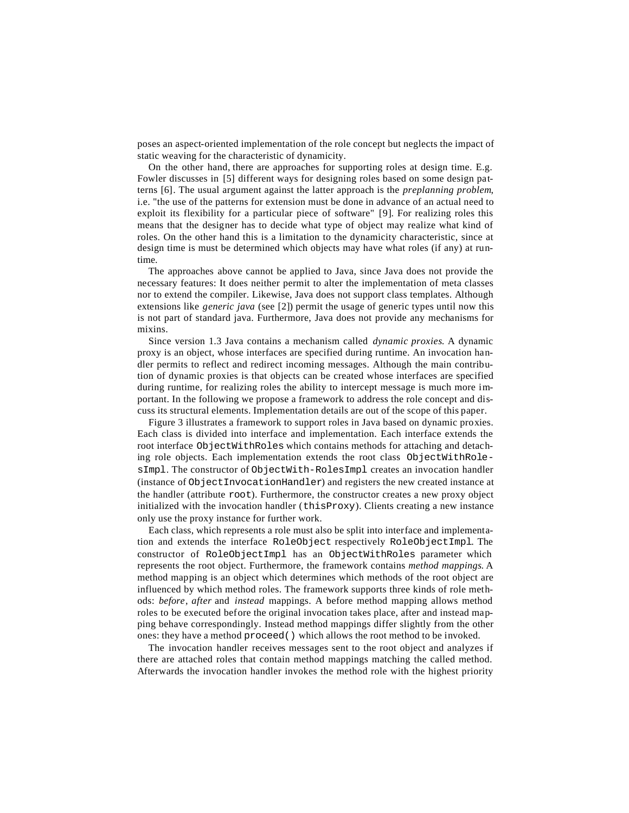poses an aspect-oriented implementation of the role concept but neglects the impact of static weaving for the characteristic of dynamicity.

On the other hand, there are approaches for supporting roles at design time. E.g. Fowler discusses in [5] different ways for designing roles based on some design patterns [6]. The usual argument against the latter approach is the *preplanning problem*, i.e. "the use of the patterns for extension must be done in advance of an actual need to exploit its flexibility for a particular piece of software" [9]. For realizing roles this means that the designer has to decide what type of object may realize what kind of roles. On the other hand this is a limitation to the dynamicity characteristic, since at design time is must be determined which objects may have what roles (if any) at runtime.

The approaches above cannot be applied to Java, since Java does not provide the necessary features: It does neither permit to alter the implementation of meta classes nor to extend the compiler. Likewise, Java does not support class templates. Although extensions like *generic java* (see [2]) permit the usage of generic types until now this is not part of standard java. Furthermore, Java does not provide any mechanisms for mixins.

Since version 1.3 Java contains a mechanism called *dynamic proxies*. A dynamic proxy is an object, whose interfaces are specified during runtime. An invocation handler permits to reflect and redirect incoming messages. Although the main contribution of dynamic proxies is that objects can be created whose interfaces are specified during runtime, for realizing roles the ability to intercept message is much more important. In the following we propose a framework to address the role concept and discuss its structural elements. Implementation details are out of the scope of this paper.

Figure 3 illustrates a framework to support roles in Java based on dynamic proxies. Each class is divided into interface and implementation. Each interface extends the root interface ObjectWithRoles which contains methods for attaching and detaching role objects. Each implementation extends the root class ObjectWithRolesImpl. The constructor of ObjectWith-RolesImpl creates an invocation handler (instance of ObjectInvocationHandler) and registers the new created instance at the handler (attribute root). Furthermore, the constructor creates a new proxy object initialized with the invocation handler (thisProxy). Clients creating a new instance only use the proxy instance for further work.

Each class, which represents a role must also be split into interface and implementation and extends the interface RoleObject respectively RoleObjectImpl. The constructor of RoleObjectImpl has an ObjectWithRoles parameter which represents the root object. Furthermore, the framework contains *method mappings*. A method mapping is an object which determines which methods of the root object are influenced by which method roles. The framework supports three kinds of role methods: *before*, *after* and *instead* mappings. A before method mapping allows method roles to be executed before the original invocation takes place, after and instead mapping behave correspondingly. Instead method mappings differ slightly from the other ones: they have a method proceed() which allows the root method to be invoked.

The invocation handler receives messages sent to the root object and analyzes if there are attached roles that contain method mappings matching the called method. Afterwards the invocation handler invokes the method role with the highest priority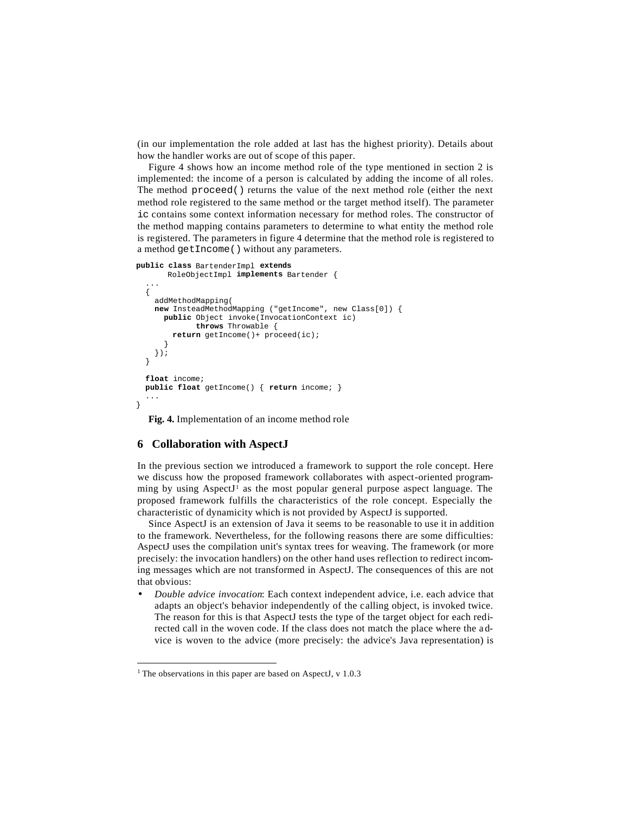(in our implementation the role added at last has the highest priority). Details about how the handler works are out of scope of this paper.

Figure 4 shows how an income method role of the type mentioned in section 2 is implemented: the income of a person is calculated by adding the income of all roles. The method proceed() returns the value of the next method role (either the next method role registered to the same method or the target method itself). The parameter ic contains some context information necessary for method roles. The constructor of the method mapping contains parameters to determine to what entity the method role is registered. The parameters in figure 4 determine that the method role is registered to a method getIncome() without any parameters.

```
public class BartenderImpl extends
```

```
 RoleObjectImpl implements Bartender {
...
{
   addMethodMapping(
   new InsteadMethodMapping ("getIncome", new Class[0]) {
     public Object invoke(InvocationContext ic) 
             throws Throwable {
       return getIncome()+ proceed(ic);
}
   });
 }
 float income;
 public float getIncome() { return income; }
...
```
**Fig. 4.** Implementation of an income method role

## **6 Collaboration with AspectJ**

In the previous section we introduced a framework to support the role concept. Here we discuss how the proposed framework collaborates with aspect-oriented programming by using  $A$ spectJ<sup>1</sup> as the most popular general purpose aspect language. The proposed framework fulfills the characteristics of the role concept. Especially the characteristic of dynamicity which is not provided by AspectJ is supported.

Since AspectJ is an extension of Java it seems to be reasonable to use it in addition to the framework. Nevertheless, for the following reasons there are some difficulties: AspectJ uses the compilation unit's syntax trees for weaving. The framework (or more precisely: the invocation handlers) on the other hand uses reflection to redirect incoming messages which are not transformed in AspectJ. The consequences of this are not that obvious:

• *Double advice invocation*: Each context independent advice, i.e. each advice that adapts an object's behavior independently of the calling object, is invoked twice. The reason for this is that AspectJ tests the type of the target object for each redirected call in the woven code. If the class does not match the place where the a dvice is woven to the advice (more precisely: the advice's Java representation) is

1

}

<sup>&</sup>lt;sup>1</sup> The observations in this paper are based on AspectJ, v 1.0.3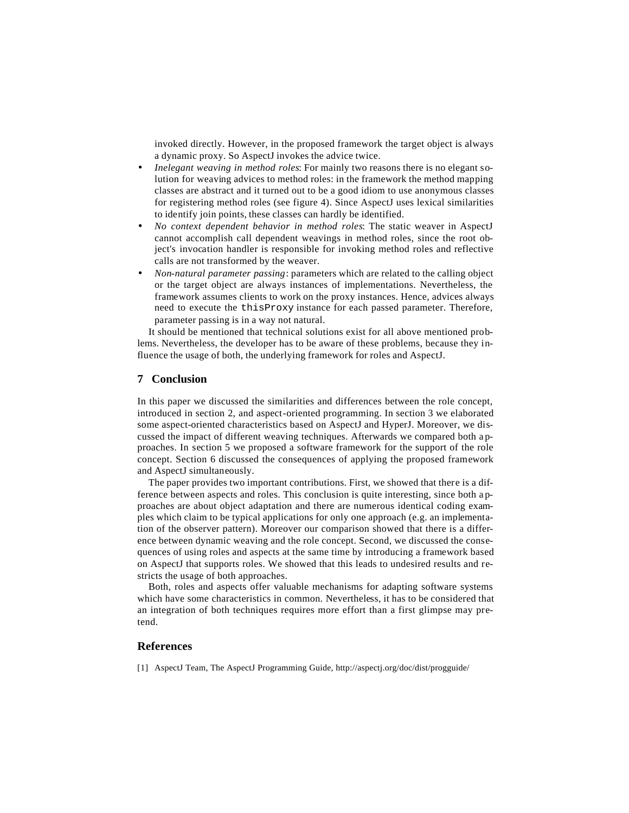invoked directly. However, in the proposed framework the target object is always a dynamic proxy. So AspectJ invokes the advice twice.

- *Inelegant weaving in method roles*: For mainly two reasons there is no elegant solution for weaving advices to method roles: in the framework the method mapping classes are abstract and it turned out to be a good idiom to use anonymous classes for registering method roles (see figure 4). Since AspectJ uses lexical similarities to identify join points, these classes can hardly be identified.
- *No context dependent behavior in method roles*: The static weaver in AspectJ cannot accomplish call dependent weavings in method roles, since the root object's invocation handler is responsible for invoking method roles and reflective calls are not transformed by the weaver.
- *Non-natural parameter passing*: parameters which are related to the calling object or the target object are always instances of implementations. Nevertheless, the framework assumes clients to work on the proxy instances. Hence, advices always need to execute the thisProxy instance for each passed parameter. Therefore, parameter passing is in a way not natural.

It should be mentioned that technical solutions exist for all above mentioned problems. Nevertheless, the developer has to be aware of these problems, because they influence the usage of both, the underlying framework for roles and AspectJ.

## **7 Conclusion**

In this paper we discussed the similarities and differences between the role concept, introduced in section 2, and aspect-oriented programming. In section 3 we elaborated some aspect-oriented characteristics based on AspectJ and HyperJ. Moreover, we discussed the impact of different weaving techniques. Afterwards we compared both a pproaches. In section 5 we proposed a software framework for the support of the role concept. Section 6 discussed the consequences of applying the proposed framework and AspectJ simultaneously.

The paper provides two important contributions. First, we showed that there is a difference between aspects and roles. This conclusion is quite interesting, since both a pproaches are about object adaptation and there are numerous identical coding examples which claim to be typical applications for only one approach (e.g. an implementation of the observer pattern). Moreover our comparison showed that there is a difference between dynamic weaving and the role concept. Second, we discussed the consequences of using roles and aspects at the same time by introducing a framework based on AspectJ that supports roles. We showed that this leads to undesired results and restricts the usage of both approaches.

Both, roles and aspects offer valuable mechanisms for adapting software systems which have some characteristics in common. Nevertheless, it has to be considered that an integration of both techniques requires more effort than a first glimpse may pretend.

## **References**

[1] AspectJ Team, The AspectJ Programming Guide, http://aspectj.org/doc/dist/progguide/